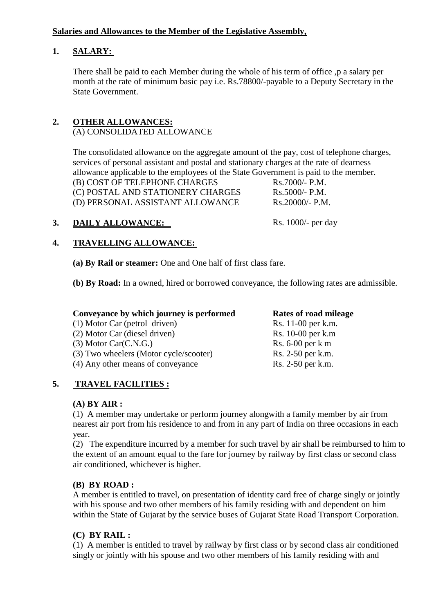## **Salaries and Allowances to the Member of the Legislative Assembly,**

# **1. SALARY:**

There shall be paid to each Member during the whole of his term of office ,p a salary per month at the rate of minimum basic pay i.e. Rs.78800/-payable to a Deputy Secretary in the State Government.

# **2. OTHER ALLOWANCES:**

## (A) CONSOLIDATED ALLOWANCE

The consolidated allowance on the aggregate amount of the pay, cost of telephone charges, services of personal assistant and postal and stationary charges at the rate of dearness allowance applicable to the employees of the State Government is paid to the member.

 $(R)$  COST OF TELEPHONE CHARGES  $Rs.7000/- P.M.$ (C) POSTAL AND STATIONERY CHARGES Rs.5000/- P.M. (D) PERSONAL ASSISTANT ALLOWANCE Rs.20000/- P.M.

# **3. DAILY ALLOWANCE:** Rs. 1000/- per day

## **4. TRAVELLING ALLOWANCE:**

**(a) By Rail or steamer:** One and One half of first class fare.

**(b) By Road:** In a owned, hired or borrowed conveyance, the following rates are admissible.

# **Conveyance by which journey is performed**<br>
(1) Motor Car (petrol driven) Rs. 11-00 per k.m.

(1) Motor Car (petrol driven) Rs. 11-00 per k.m.<br>
(2) Motor Car (diesel driven) Rs. 10-00 per k.m.  $(2)$  Motor Car (diesel driven) (3) Motor Car $(C.N.G.)$  Rs. 6-00 per k m (3) Two wheelers (Motor cycle/scooter) Rs. 2-50 per k.m.

(4) Any other means of conveyance  $\qquad \qquad \text{Rs. } 2-50 \text{ per k.m.}$ 

## **5. TRAVEL FACILITIES :**

## **(A) BY AIR :**

(1) A member may undertake or perform journey alongwith a family member by air from nearest air port from his residence to and from in any part of India on three occasions in each year.

(2) The expenditure incurred by a member for such travel by air shall be reimbursed to him to the extent of an amount equal to the fare for journey by railway by first class or second class air conditioned, whichever is higher.

## **(B) BY ROAD :**

A member is entitled to travel, on presentation of identity card free of charge singly or jointly with his spouse and two other members of his family residing with and dependent on him within the State of Gujarat by the service buses of Gujarat State Road Transport Corporation.

## **(C) BY RAIL :**

(1) A member is entitled to travel by railway by first class or by second class air conditioned singly or jointly with his spouse and two other members of his family residing with and